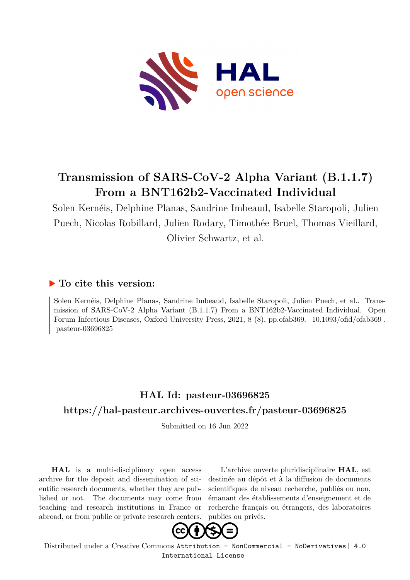

# **Transmission of SARS-CoV-2 Alpha Variant (B.1.1.7) From a BNT162b2-Vaccinated Individual**

Solen Kernéis, Delphine Planas, Sandrine Imbeaud, Isabelle Staropoli, Julien Puech, Nicolas Robillard, Julien Rodary, Timothée Bruel, Thomas Vieillard, Olivier Schwartz, et al.

# **To cite this version:**

Solen Kernéis, Delphine Planas, Sandrine Imbeaud, Isabelle Staropoli, Julien Puech, et al.. Transmission of SARS-CoV-2 Alpha Variant (B.1.1.7) From a BNT162b2-Vaccinated Individual. Open Forum Infectious Diseases, Oxford University Press, 2021, 8 (8), pp.ofab369. 10.1093/ofid/ofab369.  $pasteur-03696825$ 

# **HAL Id: pasteur-03696825 <https://hal-pasteur.archives-ouvertes.fr/pasteur-03696825>**

Submitted on 16 Jun 2022

**HAL** is a multi-disciplinary open access archive for the deposit and dissemination of scientific research documents, whether they are published or not. The documents may come from teaching and research institutions in France or abroad, or from public or private research centers.

L'archive ouverte pluridisciplinaire **HAL**, est destinée au dépôt et à la diffusion de documents scientifiques de niveau recherche, publiés ou non, émanant des établissements d'enseignement et de recherche français ou étrangers, des laboratoires publics ou privés.



Distributed under a Creative Commons [Attribution - NonCommercial - NoDerivatives| 4.0](http://creativecommons.org/licenses/by-nc-nd/4.0/) [International License](http://creativecommons.org/licenses/by-nc-nd/4.0/)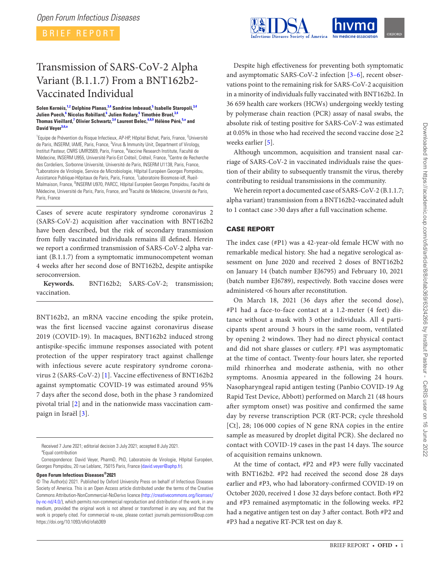BRIEF REPORT

# Transmission of SARS-CoV-2 Alpha Variant (B.1.1.7) From a BNT162b2- Vaccinated Individual

#### **Solen Kernéis, 1,2 Delphine Planas, 3,4 Sandrine Imbeaud, 5 Isabelle Staropoli, 3,4 Julien Puech, 6 Nicolas Robillard, 6 Julien Rodary, 6 Timothée Bruel, 3,4 Thomas Vieillard, 7 Olivier Schwartz, 3,4 Laurent Belec, 6,8,9 Hélène Péré, 5,a and David Veyer5,6,a**

<sup>1</sup> Equipe de Prévention du Risque Infectieux, AP-HP, Hôpital Bichat, Paris, France, <sup>2</sup>Université de Paris, INSERM, IAME, Paris, France, <sup>3</sup>Virus & Immunity Unit, Department of Virology, Institut Pasteur, CNRS UMR3569, Paris, France, <sup>4</sup> Vaccine Research Institute, Faculté de Médecine, INSERM U955, Université Paris-Est Créteil, Créteil, France, <sup>5</sup>Centre de Recherche des Cordeliers, Sorbonne Université, Université de Paris, INSERM U1138, Paris, France, <sup>6</sup>Laboratoire de Virologie, Service de Microbiologie, Hôpital Européen Georges Pompidou, Assistance Publique-Hôpitaux de Paris, Paris, France, <sup>7</sup>Laboratoire Biosmose-idf, Rueil-Malmaison, France, <sup>8</sup>INSERM U970, PARCC, Hôpital Européen Georges Pompidou, Faculté de Médecine, Université de Paris, Paris, France, and <sup>9</sup> Faculté de Médecine, Université de Paris, Paris, France

Cases of severe acute respiratory syndrome coronavirus 2 (SARS-CoV-2) acquisition after vaccination with BNT162b2 have been described, but the risk of secondary transmission from fully vaccinated individuals remains ill defined. Herein we report a confirmed transmission of SARS-CoV-2 alpha variant (B.1.1.7) from a symptomatic immunocompetent woman 4 weeks after her second dose of BNT162b2, despite antispike seroconversion.

**Keywords.** BNT162b2; SARS-CoV-2; transmission; vaccination.

BNT162b2, an mRNA vaccine encoding the spike protein, was the first licensed vaccine against coronavirus disease 2019 (COVID-19). In macaques, BNT162b2 induced strong antispike-specific immune responses associated with potent protection of the upper respiratory tract against challenge with infectious severe acute respiratory syndrome coronavirus 2 (SARS-CoV-2) [1]. Vaccine effectiveness of BNT162b2 against symptomatic COVID-19 was estimated around 95% 7 days after the second dose, both in the phase 3 randomized pivotal trial [2] and in the nationwide mass vaccination campaign in Israël [3].

Received 7 June 2021; editorial decision 3 July 2021; accepted 8 July 2021. <sup>a</sup> Equal contribution

**Open Forum Infectious Diseases®2021**



Despite high effectiveness for preventing both symptomatic and asymptomatic SARS-CoV-2 infection [3–6], recent observations point to the remaining risk for SARS-CoV-2 acquisition in a minority of individuals fully vaccinated with BNT162b2. In 36 659 health care workers (HCWs) undergoing weekly testing by polymerase chain reaction (PCR) assay of nasal swabs, the absolute risk of testing positive for SARS-CoV-2 was estimated at 0.05% in those who had received the second vaccine dose  $\geq$ 2 weeks earlier [5].

Although uncommon, acquisition and transient nasal carriage of SARS-CoV-2 in vaccinated individuals raise the question of their ability to subsequently transmit the virus, thereby contributing to residual transmissions in the community.

We herein report a documented case of SARS-CoV-2 (B.1.1.7; alpha variant) transmission from a BNT162b2-vaccinated adult to 1 contact case >30 days after a full vaccination scheme.

## CASE REPORT

The index case (#P1) was a 42-year-old female HCW with no remarkable medical history. She had a negative serological assessment on June 2020 and received 2 doses of BNT162b2 on January 14 (batch number EJ6795) and February 10, 2021 (batch number EJ6789), respectively. Both vaccine doses were administered <6 hours after reconstitution.

On March 18, 2021 (36 days after the second dose), #P1 had a face-to-face contact at a 1.2-meter (4 feet) distance without a mask with 3 other individuals. All 4 participants spent around 3 hours in the same room, ventilated by opening 2 windows. They had no direct physical contact and did not share glasses or cutlery. #P1 was asymptomatic at the time of contact. Twenty-four hours later, she reported mild rhinorrhea and moderate asthenia, with no other symptoms. Anosmia appeared in the following 24 hours. Nasopharyngeal rapid antigen testing (Panbio COVID-19 Ag Rapid Test Device, Abbott) performed on March 21 (48 hours after symptom onset) was positive and confirmed the same day by reverse transcription PCR (RT-PCR; cycle threshold [Ct], 28; 106 000 copies of N gene RNA copies in the entire sample as measured by droplet digital PCR). She declared no contact with COVID-19 cases in the past 14 days. The source of acquisition remains unknown.

At the time of contact, #P2 and #P3 were fully vaccinated with BNT162b2. #P2 had received the second dose 28 days earlier and #P3, who had laboratory-confirmed COVID-19 on October 2020, received 1 dose 32 days before contact. Both #P2 and #P3 remained asymptomatic in the following weeks. #P2 had a negative antigen test on day 3 after contact. Both #P2 and #P3 had a negative RT-PCR test on day 8.

Correspondence: David Veyer, PharmD, PhD, Laboratoire de Virologie, Hôpital Européen, Georges Pompidou, 20 rue Leblanc, 75015 Paris, France [\(david.veyer@aphp.fr](mailto:david.veyer@aphp.fr?subject=)).

<sup>©</sup> The Author(s) 2021. Published by Oxford University Press on behalf of Infectious Diseases Society of America. This is an Open Access article distributed under the terms of the Creative Commons Attribution-NonCommercial-NoDerivs licence [\(http://creativecommons.org/licenses/](http://creativecommons.org/licenses/by-nc-nd/4.0/) [by-nc-nd/4.0/](http://creativecommons.org/licenses/by-nc-nd/4.0/)), which permits non-commercial reproduction and distribution of the work, in any medium, provided the original work is not altered or transformed in any way, and that the work is properly cited. For commercial re-use, please contact journals.permissions@oup.com <https://doi.org/10.1093/ofid/ofab369>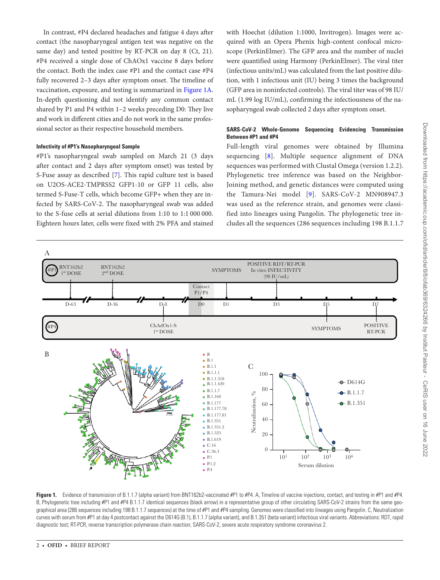In contrast, #P4 declared headaches and fatigue 4 days after contact (the nasopharyngeal antigen test was negative on the same day) and tested positive by RT-PCR on day 8 (Ct, 21). #P4 received a single dose of ChAOx1 vaccine 8 days before the contact. Both the index case #P1 and the contact case #P4 fully recovered 2–3 days after symptom onset. The timeline of vaccination, exposure, and testing is summarized in Figure 1A. In-depth questioning did not identify any common contact shared by P1 and P4 within 1–2 weeks preceding D0: They live and work in different cities and do not work in the same professional sector as their respective household members.

### **Infectivity of #P1's Nasopharyngeal Sample**

#P1's nasopharyngeal swab sampled on March 21 (3 days after contact and 2 days after symptom onset) was tested by S-Fuse assay as described [7]. This rapid culture test is based on U2OS-ACE2-TMPRSS2 GFP1-10 or GFP 11 cells, also termed S-Fuse-T cells, which become GFP+ when they are infected by SARS-CoV-2. The nasopharyngeal swab was added to the S-fuse cells at serial dilutions from 1:10 to 1:1 000 000. Eighteen hours later, cells were fixed with 2% PFA and stained

with Hoechst (dilution 1:1000, Invitrogen). Images were acquired with an Opera Phenix high-content confocal microscope (PerkinElmer). The GFP area and the number of nuclei were quantified using Harmony (PerkinElmer). The viral titer (infectious units/mL) was calculated from the last positive dilution, with 1 infectious unit (IU) being 3 times the background (GFP area in noninfected controls). The viral titer was of 98 IU/ mL (1.99 log IU/mL), confirming the infectiousness of the nasopharyngeal swab collected 2 days after symptom onset.

### **SARS-CoV-2 Whole-Genome Sequencing Evidencing Transmission Between #P1 and #P4**

Full-length viral genomes were obtained by Illumina sequencing [8]. Multiple sequence alignment of DNA sequences was performed with Clustal Omega (version 1.2.2). Phylogenetic tree inference was based on the Neighbor-Joining method, and genetic distances were computed using the Tamura-Nei model [9]. SARS-CoV-2 MN908947.3 was used as the reference strain, and genomes were classified into lineages using Pangolin. The phylogenetic tree includes all the sequences (286 sequences including 198 B.1.1.7



Figure 1. Evidence of transmission of B.1.1.7 (alpha variant) from BNT162b2-vaccinated #P1 to #P4. A, Timeline of vaccine injections, contact, and testing in #P1 and #P4. B, Phylogenetic tree including #P1 and #P4 B.1.1.7 identical sequences (black arrow) in a representative group of other circulating SARS-CoV-2 strains from the same geographical area (286 sequences including 198 B.1.1.7 sequences) at the time of #P1 and #P4 sampling. Genomes were classified into lineages using Pangolin. C, Neutralization curves with serum from #P1 at day 4 postcontact against the D614G (B.1), B.1.1.7 (alpha variant), and B.1.351 (beta variant) infectious viral variants. Abbreviations: RDT, rapid diagnostic test; RT-PCR, reverse transcription polymerase chain reaction; SARS-CoV-2, severe acute respiratory syndrome coronavirus 2.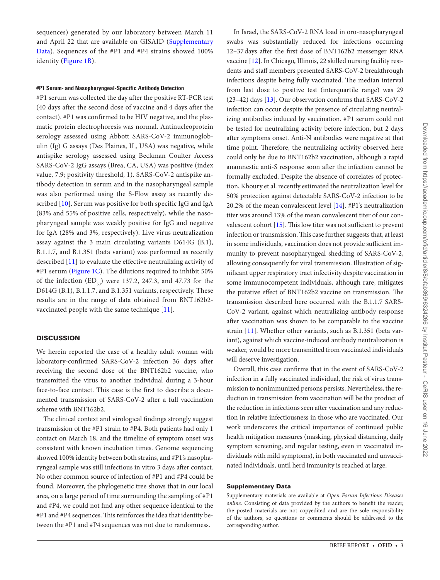sequences) generated by our laboratory between March 11 and April 22 that are available on GISAID [\(Supplementary](http://academic.oup.com/ofid/article-lookup/doi/10.1093/ofid/ofab369#supplementary-data) [Data\)](http://academic.oup.com/ofid/article-lookup/doi/10.1093/ofid/ofab369#supplementary-data). Sequences of the #P1 and #P4 strains showed 100% identity (Figure 1B).

### **#P1 Serum- and Nasopharyngeal-Specific Antibody Detection**

#P1 serum was collected the day after the positive RT-PCR test (40 days after the second dose of vaccine and 4 days after the contact). #P1 was confirmed to be HIV negative, and the plasmatic protein electrophoresis was normal. Antinucleoprotein serology assessed using Abbott SARS-CoV-2 immunoglobulin (Ig) G assays (Des Plaines, IL, USA) was negative, while antispike serology assessed using Beckman Coulter Access SARS-CoV-2 IgG assays (Brea, CA, USA) was positive (index value, 7.9; positivity threshold, 1). SARS-CoV-2 antispike antibody detection in serum and in the nasopharyngeal sample was also performed using the S-Flow assay as recently described [10]. Serum was positive for both specific IgG and IgA (83% and 55% of positive cells, respectively), while the nasopharyngeal sample was weakly positive for IgG and negative for IgA (28% and 3%, respectively). Live virus neutralization assay against the 3 main circulating variants D614G (B.1), B.1.1.7, and B.1.351 (beta variant) was performed as recently described [11] to evaluate the effective neutralizing activity of #P1 serum (Figure 1C). The dilutions required to inhibit 50% of the infection  $(ED_{50})$  were 137.2, 247.3, and 47.73 for the D614G (B.1), B.1.1.7, and B.1.351 variants, respectively. These results are in the range of data obtained from BNT162b2 vaccinated people with the same technique [11].

### **DISCUSSION**

We herein reported the case of a healthy adult woman with laboratory-confirmed SARS-CoV-2 infection 36 days after receiving the second dose of the BNT162b2 vaccine, who transmitted the virus to another individual during a 3-hour face-to-face contact. This case is the first to describe a documented transmission of SARS-CoV-2 after a full vaccination scheme with BNT162b2.

The clinical context and virological findings strongly suggest transmission of the #P1 strain to #P4. Both patients had only 1 contact on March 18, and the timeline of symptom onset was consistent with known incubation times. Genome sequencing showed 100% identity between both strains, and #P1's nasopharyngeal sample was still infectious in vitro 3 days after contact. No other common source of infection of #P1 and #P4 could be found. Moreover, the phylogenetic tree shows that in our local area, on a large period of time surrounding the sampling of #P1 and #P4, we could not find any other sequence identical to the #P1 and #P4 sequences. This reinforces the idea that identity between the #P1 and #P4 sequences was not due to randomness.

In Israel, the SARS-CoV-2 RNA load in oro-nasopharyngeal swabs was substantially reduced for infections occurring 12–37days after the first dose of BNT162b2 messenger RNA vaccine [12]. In Chicago, Illinois, 22 skilled nursing facility residents and staff members presented SARS-CoV-2 breakthrough infections despite being fully vaccinated. The median interval from last dose to positive test (interquartile range) was 29 (23–42) days [13]. Our observation confirms that SARS-CoV-2 infection can occur despite the presence of circulating neutralizing antibodies induced by vaccination. #P1 serum could not be tested for neutralizing activity before infection, but 2 days after symptoms onset. Anti-N antibodies were negative at that time point. Therefore, the neutralizing activity observed here could only be due to BNT162b2 vaccination, although a rapid anamnestic anti-S response soon after the infection cannot be formally excluded. Despite the absence of correlates of protection, Khoury et al. recently estimated the neutralization level for 50% protection against detectable SARS-CoV-2 infection to be 20.2% of the mean convalescent level [14]. #P1's neutralization titer was around 13% of the mean convalescent titer of our convalescent cohort [15]. This low titer was not sufficient to prevent infection or transmission. This case further suggests that, at least in some individuals, vaccination does not provide sufficient immunity to prevent nasopharyngeal shedding of SARS-CoV-2, allowing consequently for viral transmission. Illustration of significant upper respiratory tract infectivity despite vaccination in some immunocompetent individuals, although rare, mitigates the putative effect of BNT162b2 vaccine on transmission. The transmission described here occurred with the B.1.1.7 SARS-CoV-2 variant, against which neutralizing antibody response after vaccination was shown to be comparable to the vaccine strain [11]. Whether other variants, such as B.1.351 (beta variant), against which vaccine-induced antibody neutralization is weaker, would be more transmitted from vaccinated individuals will deserve investigation.

Overall, this case confirms that in the event of SARS-CoV-2 infection in a fully vaccinated individual, the risk of virus transmission to nonimmunized persons persists. Nevertheless, the reduction in transmission from vaccination will be the product of the reduction in infections seen after vaccination and any reduction in relative infectiousness in those who are vaccinated. Our work underscores the critical importance of continued public health mitigation measures (masking, physical distancing, daily symptom screening, and regular testing, even in vaccinated individuals with mild symptoms), in both vaccinated and unvaccinated individuals, until herd immunity is reached at large.

#### Supplementary Data

Supplementary materials are available at *Open Forum Infectious Diseases online*. Consisting of data provided by the authors to benefit the reader, the posted materials are not copyedited and are the sole responsibility of the authors, so questions or comments should be addressed to the corresponding author.